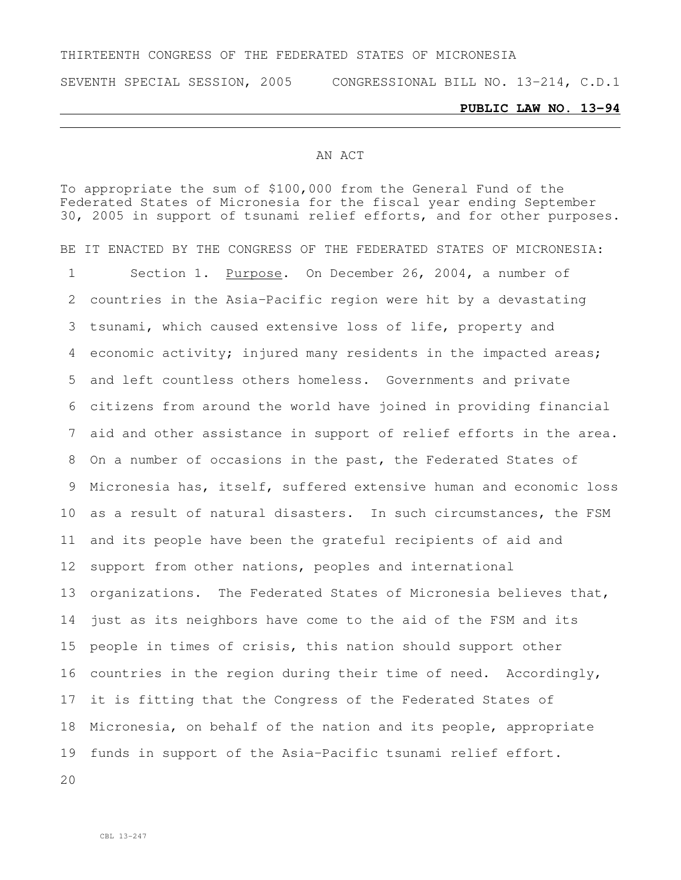#### THIRTEENTH CONGRESS OF THE FEDERATED STATES OF MICRONESIA

SEVENTH SPECIAL SESSION, 2005 CONGRESSIONAL BILL NO. 13-214, C.D.1

#### **PUBLIC LAW NO. 13-94**

#### AN ACT

To appropriate the sum of \$100,000 from the General Fund of the Federated States of Micronesia for the fiscal year ending September 30, 2005 in support of tsunami relief efforts, and for other purposes. BE IT ENACTED BY THE CONGRESS OF THE FEDERATED STATES OF MICRONESIA: 1 Section 1. Purpose. On December 26, 2004, a number of countries in the Asia-Pacific region were hit by a devastating tsunami, which caused extensive loss of life, property and economic activity; injured many residents in the impacted areas; and left countless others homeless. Governments and private citizens from around the world have joined in providing financial aid and other assistance in support of relief efforts in the area. On a number of occasions in the past, the Federated States of Micronesia has, itself, suffered extensive human and economic loss as a result of natural disasters. In such circumstances, the FSM and its people have been the grateful recipients of aid and support from other nations, peoples and international organizations. The Federated States of Micronesia believes that, just as its neighbors have come to the aid of the FSM and its people in times of crisis, this nation should support other countries in the region during their time of need. Accordingly, it is fitting that the Congress of the Federated States of Micronesia, on behalf of the nation and its people, appropriate funds in support of the Asia-Pacific tsunami relief effort.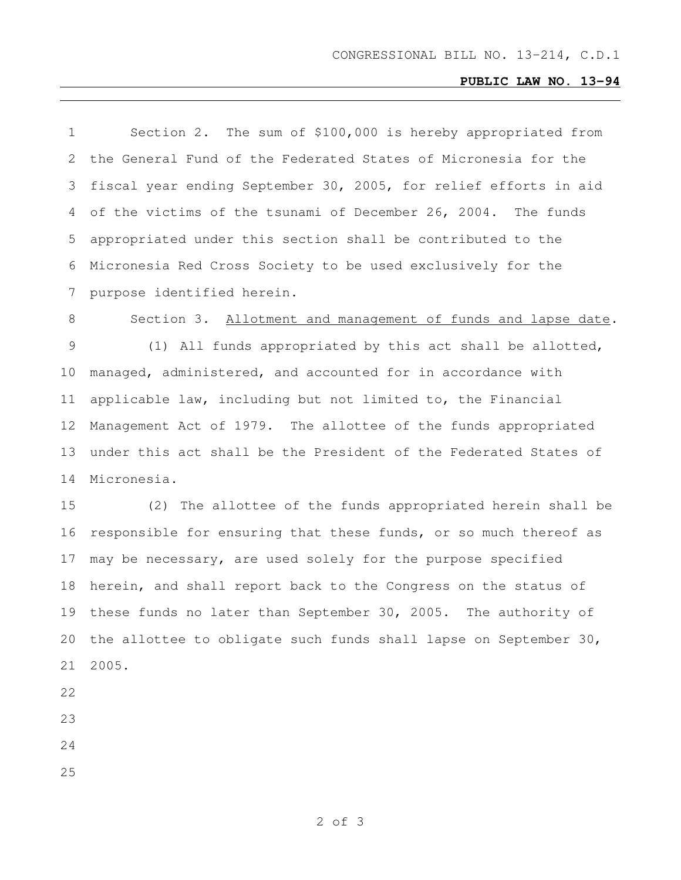# **PUBLIC LAW NO. 13-94**

| $\mathbf 1$ | Section 2. The sum of \$100,000 is hereby appropriated from      |
|-------------|------------------------------------------------------------------|
| 2           | the General Fund of the Federated States of Micronesia for the   |
| 3           | fiscal year ending September 30, 2005, for relief efforts in aid |
| 4           | of the victims of the tsunami of December 26, 2004. The funds    |
| 5           | appropriated under this section shall be contributed to the      |
| 6           | Micronesia Red Cross Society to be used exclusively for the      |
| 7           | purpose identified herein.                                       |
| 8           | Section 3. Allotment and management of funds and lapse date.     |
| 9           | (1) All funds appropriated by this act shall be allotted,        |
| 10          | managed, administered, and accounted for in accordance with      |
| 11          | applicable law, including but not limited to, the Financial      |
| 12          | Management Act of 1979. The allottee of the funds appropriated   |
| 13          | under this act shall be the President of the Federated States of |
| 14          | Micronesia.                                                      |
| 15          | (2) The allottee of the funds appropriated herein shall be       |
| 16          | responsible for ensuring that these funds, or so much thereof as |
| 17          | may be necessary, are used solely for the purpose specified      |
| 18          | herein, and shall report back to the Congress on the status of   |
| 19          | these funds no later than September 30, 2005. The authority of   |
| 20          | the allottee to obligate such funds shall lapse on September 30, |
| 21          | 2005.                                                            |
|             |                                                                  |

- 
- 
- 
-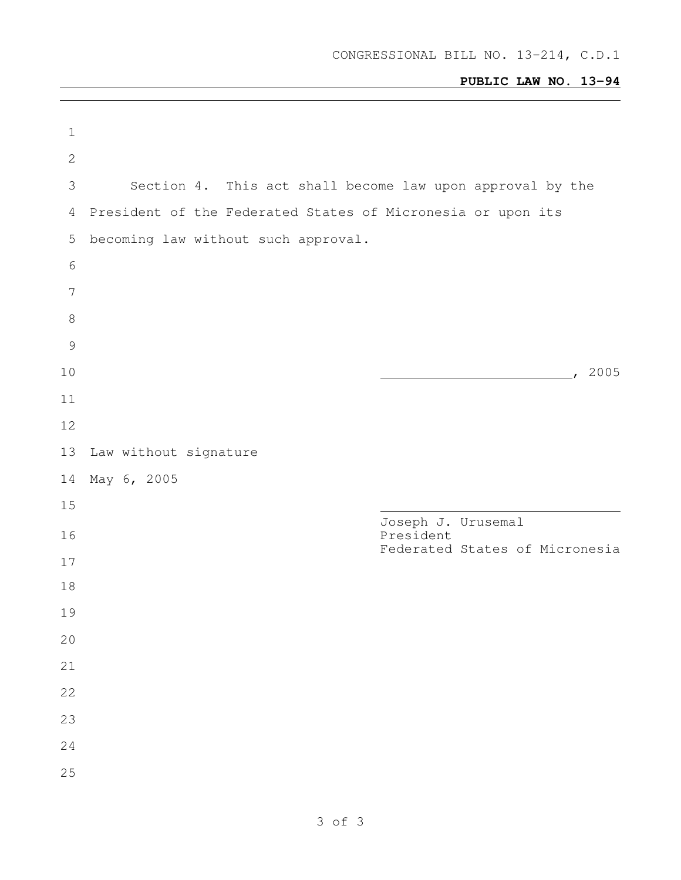# **PUBLIC LAW NO. 13-94**

| $\mathbf 1$     |                                                             |                                             |
|-----------------|-------------------------------------------------------------|---------------------------------------------|
| $\mathbf{2}$    |                                                             |                                             |
| 3               | Section 4. This act shall become law upon approval by the   |                                             |
| 4               | President of the Federated States of Micronesia or upon its |                                             |
| 5               | becoming law without such approval.                         |                                             |
| $\sqrt{6}$      |                                                             |                                             |
| $7\phantom{.0}$ |                                                             |                                             |
| 8               |                                                             |                                             |
| $\mathcal{G}$   |                                                             |                                             |
| 10              |                                                             | , 2005                                      |
| 11              |                                                             |                                             |
| 12              |                                                             |                                             |
| 13              | Law without signature                                       |                                             |
| 14              | May 6, 2005                                                 |                                             |
| 15              |                                                             | Joseph J. Urusemal                          |
| 16              |                                                             | President<br>Federated States of Micronesia |
| 17              |                                                             |                                             |
| 18              |                                                             |                                             |
| 19<br>20        |                                                             |                                             |
| 21              |                                                             |                                             |
| 22              |                                                             |                                             |
| 23              |                                                             |                                             |
| 24              |                                                             |                                             |
| 25              |                                                             |                                             |
|                 |                                                             |                                             |